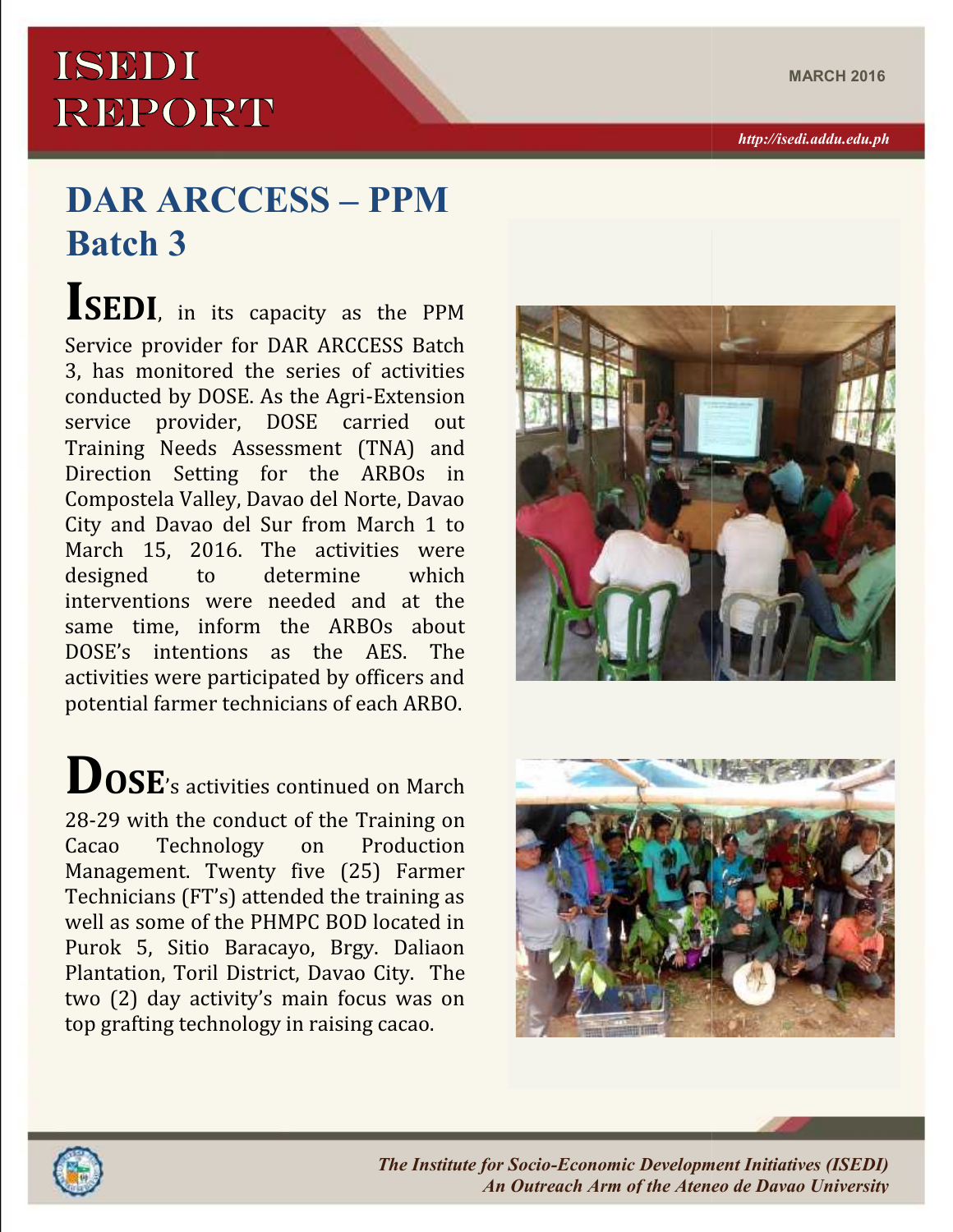## **ISEDI REPORT**

## $\bf{DAR\,ARCCESS-PPM}$ **Batch 3**

**ISEDI**, in its capacity as the PPM Service provider for DAR ARCCESS Batch 3, has monitored the series of activities conducted by DOSE. As the Agri-Extension<br>service provider. DOSE carried out service provider, DOSE carried Training Needs Assessment (TNA) and Direction Setting for the ARBOs in Compostela Valley, Davao del Norte, Davao City and Davao del Sur from March 1 to March 15, 2016. The activities were<br>designed to determine which designed to determine interventions were needed and at the same time, inform the ARBOs about DOSE's intentions as the AES. The activities were participated by officers and potential farmer technicians of each ARBO. *The The Initiatives Ateneo de PHMPC BOD* located in the ARBOs and Extension (TRA) and Setting for the ARBOs in a control of the ARBOs in the ARBOs in the ARBOs in the ARBOs in the ARBOs about the control of the Agri-Exten 5, Plantation, day onin *http://isedi.addu.edu.ph*

**DOSE**'s activities continued on March 28-29 with the conduct of the Training on<br>Cacao Technology on Production Technology Management. Twenty five (25) Farmer Technicians (FT's) attended the training as well as some of the PHMPC BOD located in Purok 5, Sitio Baracayo, Brgy. Daliaon Plantation, Toril District, Davao City. The two (2) day activity's main focus was on top grafting technology in raising cacao. potential farmer technicians of each ARBO.<br> **DOSE'**s activities continued on March<br>
28-29 with the conduct of the Training on<br>
Cacao Technology on Production<br>
Management. Twenty five (25) Farmer<br>
Technicians (FT's) attende







*The Institute for Socio-Economic Development Initiatives (ISEDI) An Outreach Arm of the Ateneo de Davao University*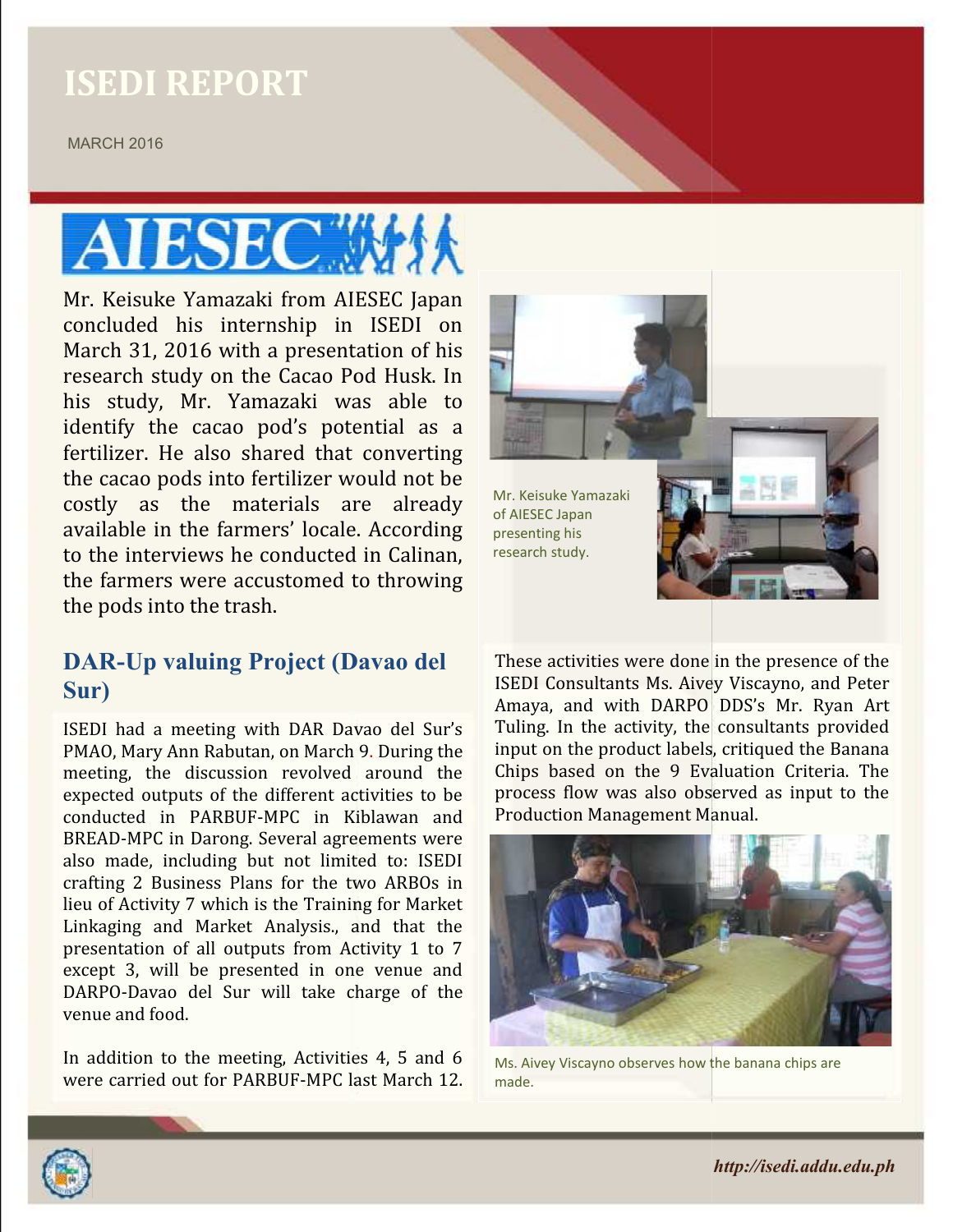### **ISEDI REPORT**

MARCH 2016 MARCH

# **ATESEC**

Mr. Keisuke Yamazaki from AIESEC Japan concluded his internship in ISEDI on March 31, 2016 with a presentation of his research study on the Cacao Pod Husk. In his study, Mr. Yamazaki was able to Mr. Keisuke Yamazaki from AIESEC Japan<br>concluded his internship in ISEDI on<br>March 31, 2016 with a presentation of his<br>research study on the Cacao Pod Husk. In<br>his study, Mr. Yamazaki was able to<br>identify the cacao pod's po fertilizer. He also shared that converting the cacao pods into fertilizer would not be costly as the materials are already available in the farmers' locale. According to the interviews he conducted in Calinan, the farmers were accustomed to throwing the pods into the trash. fertilizer. He also shared that converting<br>the cacao pods into fertilizer would not be<br>costly as the materials are already<br>available in the farmers' locale. According<br>to the interviews he conducted in Calinan,<br>the farmers

#### **DAR-Up valuing Project (Davao del Sur)**

ISEDI had a meeting with DAR Davao del Sur's PMAO, Mary Ann Rabutan, on March 9. During the meeting, the discussion revolved around the expected outputs of the different activities to be conducted in PARBUF-MPC in Kiblawan and BREAD-MPC in Darong. Several agreements were also made, including but not limited to: ISEDI crafting 2 Business Plans for the two ARBOs in lieu of Activity 7 which is the Training for Market Linkaging and Market Analysis., and that the presentation of all outputs from Activity 1 to 7 except 3, will be presented in one venue and DARPO-Davao del Sur will take charge of the venue and food. **DAR-Up valuing Project (Davao del Frese activities were done in the presence of the Surple (Davao del Surple)**<br>
Manaya, and with DARPO UDS's Mr. Ryan Art<br>
ISEDI had a meeting with DAR Davao del Sur's Tuling. In the activi Figure 1.1 He also shared that converting<br>
costly as the materials are already of Mr. Keisuke Yamazaki<br>
costly as the materials are already of MESC Japan<br>
available in the farmers' locale. According presenting his<br>
to the

In addition to the meeting, Activities 4, 5 and 6 were carried out for PARBUF-MPC last March 12.



These activities were done in the presence of the ISEDI Consultants Ms. Aivey Viscayno, and Peter Amaya, and with DARPO DDS's Mr. Ryan Art Tuling. In the activity, the consultants provided input on the product labels, critiqued the Banana Chips based on the 9 Evaluation Criteria. The process flow was also observed as input to the Production Management Manual. Production Management a, and with DARPO DDS's Mr. Ryan Art<br>I. In the activity, the consultants provided<br>on the product labels, critiqued the Banana<br>based on the 9 Evaluation Criteria. The



Ms. Aivey Viscayno observes how the banana chips are made.